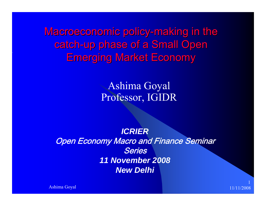Macroeconomic policy-making in the catch-up phase of a Small Open **Emerging Market Economy** 

> Ashima Goyal Professor, IGIDR

*ICRIER***Open Economy Macro and Finance Seminar** Series*11 November 2008 New Delhi*

Ashima Goyal 11/11/2008

1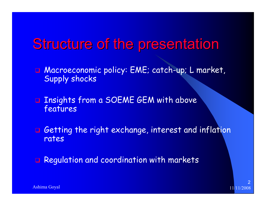## Structure of the presentation

- Macroeconomic policy: EME; catch-up; L market, Supply shocks
- **Q** Insights from a SOEME GEM with above features
- $\Box$  Getting the right exchange, interest and inflation rates
- $\Box$ Regulation and coordination with markets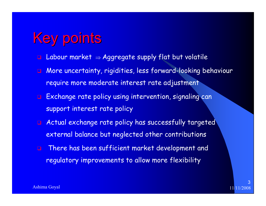# **Key points**

- $\Box$ Labour market  $\Rightarrow$  Aggregate supply flat but volatile
- $\Box$  More uncertainty, rigidities, less forward-looking behaviour require more moderate interest rate adjustment
- **Exchange rate policy using intervention, signaling can** support interest rate policy
- $\Box$  Actual exchange rate policy has successfully targeted external balance but neglected other contributions
- $\Box$  There has been sufficient market development and regulatory improvements to allow more flexibility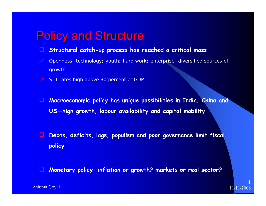### **Policy and Structure**

- $\Box$ **Structural catch-up process has reached a critical mass**
- Openness; technology; youth; hard work; enterprise; diversified sources of growth
- S, I rates high above 30 percent of GDP
- $\Box$  **Macroeconomic policy has unique possibilities in India, China and US—high growth, labour availability and capital mobility**
- $\Box$  **Debts, deficits, lags, populism and poor governance limit fiscal policy**
- $\Box$ **Monetary policy: inflation or growth? markets or real sector?**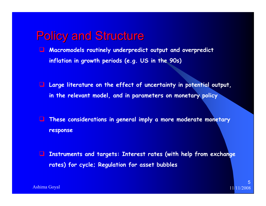### **Policy and Structure**

- $\Box$  **Macromodels routinely underpredict output and overpredict inflation in growth periods (e.g. US in the 90s)**
- **Large literature on the effect of uncertainty in potential output, in the relevant model, and in parameters on monetary policy**
- $\Box$  **These considerations in general imply a more moderate monetary response**
- $\Box$  **Instruments and targets: Interest rates (with help from exchange rates) for cycle; Regulation for asset bubbles**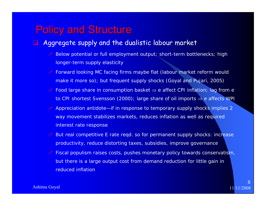### **Policy and Structure**

#### $\Box$ Aggregate supply and the dualistic labour market

- Below potential or full employment output; short-term bottlenecks; high longer-term supply elasticity
- **Forward looking MC facing firms maybe flat (labour market reform would** make it more so); but frequent supply shocks (Goyal and Pujari, 2005)
- Food large share in consumption basket <sup>⇒</sup> e affect CPI inflation; lag from e to CPI shortest Svensson (2000); large share of oil imports <sup>⇒</sup> e affects WPI
- Appreciation antidote—if in response to temporary supply shocks implies 2 way movement stabilizes markets, reduces inflation as well as required interest rate response
- **But real competitive E rate reqd. so for permanent supply shocks: increase** productivity, reduce distorting taxes, subsidies, improve governance
- **Eiscal populism raises costs, pushes monetary policy towards conservatism**, but there is a large output cost from demand reduction for little gain in reduced inflation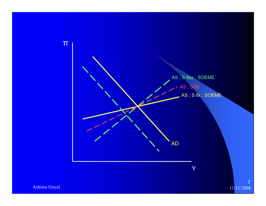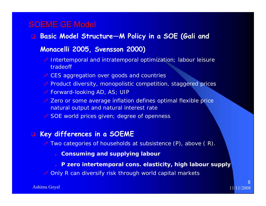### **SOEME GE Model**

- **Basic Model Structure—M Policy in a SOE (Gali and Monacelli 2005, Svensson 2000)**
	- Intertemporal and intratemporal optimization; labour leisure tradeoff
	- **CES** aggregation over goods and countries
	- Product diversity, monopolistic competition, staggered prices
	- Forward-looking AD, AS; UIP
	- **Zero or some average inflation defines optimal flexible price** natural output and natural interest rate
	- SOE world prices given; degree of openness

#### **Key differences in a SOEME**

- Two categories of households at subsistence  $(P)$ , above  $(R)$ .
	- **Consuming and supplying labour**
	- **P zero intertemporal cons. elasticity, high labour supply**
- **Only R can diversify risk through world capital markets**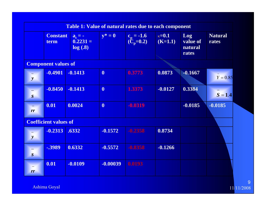| <b>Table 1: Value of natural rates due to each component</b> |                         |                                    |                  |                                       |                           |                                     |                         |  |
|--------------------------------------------------------------|-------------------------|------------------------------------|------------------|---------------------------------------|---------------------------|-------------------------------------|-------------------------|--|
|                                                              | <b>Constant</b><br>term | $a_t = -$<br>$0.2231 =$<br>log(.8) | $y^* = 0$        | $c_p = -1.6$<br>(C <sub>p</sub> =0.2) | $\kappa=0.1$<br>$(K=1.1)$ | Log<br>value of<br>natural<br>rates | <b>Natural</b><br>rates |  |
| <b>Component values of</b>                                   |                         |                                    |                  |                                       |                           |                                     |                         |  |
| $\mathbf{y}$                                                 | $-0.4901$               | $-0.1413$                          | $\boldsymbol{0}$ | 0.3773                                | 0.0873                    | $-0.1667$                           | $Y = 0.85$              |  |
| $\boldsymbol{S}$                                             | $-0.8450$               | $-0.1413$                          | $\mathbf{0}$     | 1.3373                                | $-0.0127$                 | 0.3384                              | $S = 1.4$               |  |
| $\overline{\phantom{m}}$<br>rr                               | 0.01                    | 0.0024                             | $\boldsymbol{0}$ | $-0.0319$                             |                           | $-0.0185$                           | $-0.0185$               |  |
| <b>Coefficient values of</b>                                 |                         |                                    |                  |                                       |                           |                                     |                         |  |
| $\mathbf{y}$                                                 | $-0.2313$               | .6332                              | $-0.1572$        | $-0.2358$                             | 0.8734                    |                                     |                         |  |
| $\boldsymbol{S}$                                             | -.3989                  | 0.6332                             | $-0.5572$        | $-0.8358$                             | $-0.1266$                 |                                     |                         |  |
| rr                                                           | 0.01                    | $-0.0109$                          | $-0.00039$       | 0.0193                                |                           |                                     |                         |  |

Ashima Goyal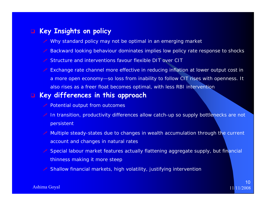#### **Key Insights on policy**

- Why standard policy may not be optimal in an emerging market
- Backward looking behaviour dominates implies low policy rate response to shocks
- **Structure and interventions favour flexible DIT over CIT**
- Exchange rate channel more effective in reducing inflation at lower output cost in a more open economy—so loss from inability to follow CIT rises with openness. It also rises as a freer float becomes optimal, with less RBI intervention

#### **Key differences in this approach**

- Potential output from outcomes
- In transition, productivity differences allow catch-up so supply bottlenecks are not persistent
- Multiple steady-states due to changes in wealth accumulation through the current account and changes in natural rates
- Special labour market features actually flattening aggregate supply, but financial thinness making it more steep
- Shallow financial markets, high volatility, justifying intervention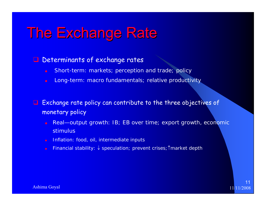### **The Exchange Rate**

#### **Q** Determinants of exchange rates

- $\bullet$ Short-term: markets; perception and trade; policy
- O Long-term: macro fundamentals; relative productivity

 $\Box$  Exchange rate policy can contribute to the three objectives of monetary policy

- $\bullet$  Real—output growth: IB; EB over time; export growth, economic **stimulus**
- Inflation: food, oil, intermediate inputs
- Financial stability: ↓ speculation; prevent crises;↑market depth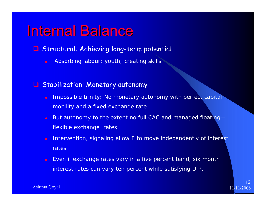### Internal Balance

- **Q Structural: Achieving long-term potential** 
	- O Absorbing labour; youth; creating skills

#### **Q** Stabilization: Monetary autonomy

- O Impossible trinity: No monetary autonomy with perfect capital mobility and a fixed exchange rate
- $\bullet$  But autonomy to the extent no full CAC and managed floating flexible exchange rates
- Intervention, signaling allow E to move independently of interest rates
- O Even if exchange rates vary in a five percent band, six month interest rates can vary ten percent while satisfying UIP.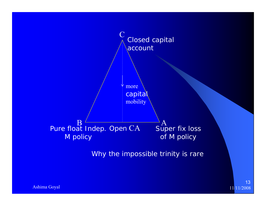

11/11/2008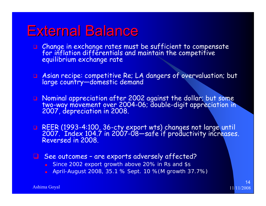### External Balance

- Change in exchange rates must be sufficient to compensate for inflation differentials and maintain the competitive equilibrium exchange rate
- Asian recipe: competitive Re; LA dangers of overvaluation; but large country—domestic demand
- Nominal appreciation after 2002 against the dollar; but some two-way movement over 2004-06; double-digit appreciation in 2007, depreciation in 2008.
- REER (1993-4:100, 36-cty expor<sup>t</sup> wts) changes not large until 2007. Index 104.7 in 2007-08—safe if productivity increases. Reversed in 2008.
- **a** See outcomes are exports adversely affected?
	- **Since 2002 export growth above 20% in Rs and \$s**
	- April-August 2008, 35.1 % Sept. 10 %(M growth 37.7%)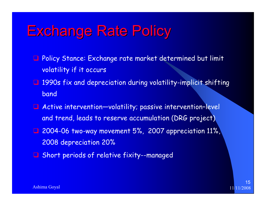# **Exchange Rate Policy**

- **Q** Policy Stance: Exchange rate market determined but limit volatility if it occurs
- **1990s fix and depreciation during volatility-implicit shifting** band
- Active intervention—volatility; passive intervention–level and trend, leads to reserve accumulation (DRG project)
- **1** 2004-06 two-way movement 5%, 2007 appreciation 11%, 2008 depreciation 20%
- **Q** Short periods of relative fixity--managed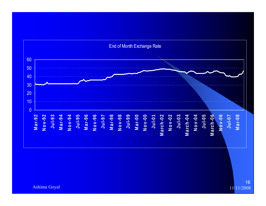

Ashima Goyal

11/11/2008 16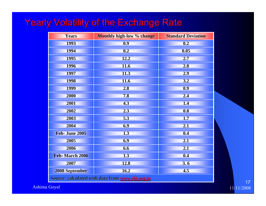### Yearly Volatility of the Exchange Rate

| <b>Years</b>                                     | Monthly high-low % change | <b>Standard Deviation</b> |  |  |  |  |
|--------------------------------------------------|---------------------------|---------------------------|--|--|--|--|
| 1993                                             | 0.9                       | 0.2                       |  |  |  |  |
| 1994                                             | 0.2                       | 0.05                      |  |  |  |  |
| 1995                                             | 12.2                      | 2.7                       |  |  |  |  |
| 1996                                             | 11.6                      | 2.8                       |  |  |  |  |
| 1997                                             | 11.3                      | 2.9                       |  |  |  |  |
| 1998                                             | 11.6                      | 3.2                       |  |  |  |  |
| 1999                                             | 2.8                       | 0.9                       |  |  |  |  |
| 2000                                             | 7.8                       | 2.4                       |  |  |  |  |
| 2001                                             | 4.3                       | 1.4                       |  |  |  |  |
| 2002                                             | 2.3                       | 0.8                       |  |  |  |  |
| 2003                                             | 5.3                       | 1.7                       |  |  |  |  |
| 2004                                             | 6.9                       | 2.1                       |  |  |  |  |
| Feb- June 2005                                   | 1.3                       | 0.4                       |  |  |  |  |
| 2005                                             | 6.9                       | 2.1                       |  |  |  |  |
| 2006                                             | 6.6                       | 2.1                       |  |  |  |  |
| Feb-March 2006                                   | 1.3                       | 0.4                       |  |  |  |  |
| 2007                                             | 12.8                      | 3.6                       |  |  |  |  |
| <b>2008 September</b>                            | 16.2                      | 4.5                       |  |  |  |  |
| Source: calculated with data from www.rbi.org.in |                           |                           |  |  |  |  |

Ashima Goyal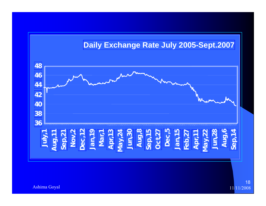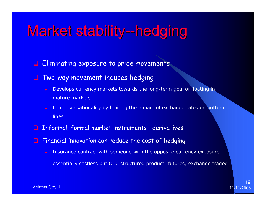# Market stability--hedging

- **Eliminating exposure to price movements**
- $\Box$  Two-way movement induces hedging
	- Develops currency markets towards the long-term goal of floating in mature markets
	- Limits sensationality by limiting the impact of exchange rates on bottomlines
- $\Box$ Informal; formal market instruments—derivatives
- $\Box$  Financial innovation can reduce the cost of hedging
	- Insurance contract with someone with the opposite currency exposure essentially costless but OTC structured product; futures, exchange traded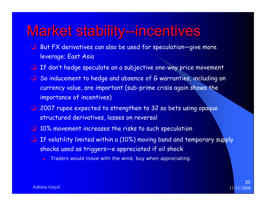### Market stability--incentives

- $\Box$  But FX derivatives can also be used for speculation—give more leverage; East Asia
- **If don't hedge speculate on a subjective one-way price movement**
- **Q** So inducement to hedge and absence of G warranties, including on currency value, are important (sub-prime crisis again shows the importance of incentives)
- **1** 2007 rupee expected to strengthen to 32 so bets using opaque structured derivatives, losses on reversal
- **10% movement increases the risks to such speculation**
- $\Box$  If volatility limited within a (10%) moving band and temporary supply shocks used as triggers—e appreciated if oil shock
	- Traders would move with the wind, buy when appreciating.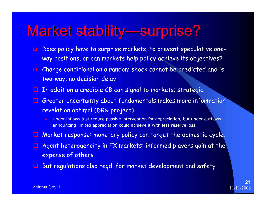# Market stability—surprise?

- $\Box$  Does policy have to surprise markets, to prevent speculative oneway positions, or can markets help policy achieve its objectives?
- Change conditional on a random shock cannot be predicted and is two-way, no decision delay
- $\Box$  In addition a credible CB can signal to markets; strategic
- Greater uncertainty about fundamentals makes more information revelation optimal (DRG project)
	- Under inflows just reduce passive intervention for appreciation, but under outflows announcing limited appreciation could achieve it with less reserve loss
- **Q** Market response: monetary policy can target the domestic cycle.
- $\Box$  Agent heterogeneity in FX markets: informed players gain at the expense of others
- $\Box$ But regulations also reqd. for market development and safety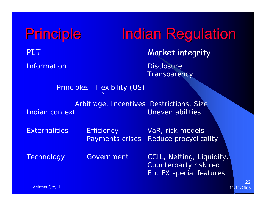Principle Indian Regulation PIT Market integrity Information and Disclosure **Transparency** Principles→Flexibility (US) ↑Arbitrage, Incentives Restrictions, Size **Indian context Context Context Context Context Context** Context Context Context Context Context Context Context Context Context Context Context Context Context Context Context Context Context Context Context Context Conte Externalities Efficiency VaR, risk models Payments crises Reduce procyclicality Technology Government CCIL, Netting, Liquidity, Counterparty risk red. But FX special features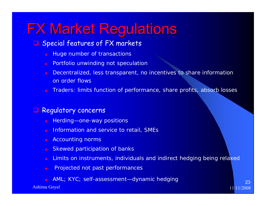# **FX Market Regulations**

### **Q** Special features of FX markets

- O Huge number of transactions
- $\bullet$ Portfolio unwinding not speculation
- O Decentralized, less transparent, no incentives to share information on order flows
- O Traders: limits function of performance, share profits, absorb losses

#### u Regulatory concerns

- O Herding—one-way positions
- O Information and service to retail, SMEs
- $\bullet$ Accounting norms
- O Skewed participation of banks
- $\bullet$ Limits on instruments, individuals and indirect hedging being relaxed
- $\bullet$ Projected not past performances
- O AML; KYC; self-assessment—dynamic hedging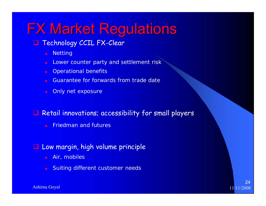# **FX Market Regulations**

### **T** Technology CCIL FX-Clear

- $\bullet$ **Netting**
- $\bullet$ Lower counter party and settlement risk
- Operational benefits
- O Guarantee for forwards from trade date
- O Only net exposure

### **Q** Retail innovations; accessibility for small players

O Friedman and futures

### **Q** Low margin, high volume principle

- $\bullet$ Air, mobiles
- O Suiting different customer needs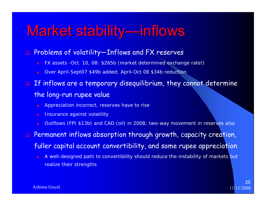### Market stability—inflows

#### $\Box$ Problems of volatility—Inflows and FX reserves

- O FX assets -Oct. 10, 08: \$265b (market determined exchange rate!)
- O Over April-Sept07 \$49b added; April-Oct 08 \$34b reduction

### $\Box$  If inflows are a temporary disequilibrium, they cannot determine the long-run rupee value

- Appreciation incorrect, reserves have to rise
- Insurance against volatility
- O Outflows (FPI \$13b) and CAD (oil) in 2008; two-way movement in reserves also

**Rermanent inflows absorption through growth, capacity creation,** fuller capital account convertibility, and some rupee appreciation

O A well-designed path to convertibility should reduce the instability of markets but realize their strengths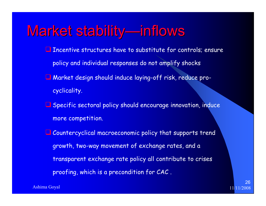## Market stability—inflows

- **Incentive structures have to substitute for controls; ensure** policy and individual responses do not amplify shocks
- Market design should induce laying-off risk, reduce procyclicality.
- **L** Specific sectoral policy should encourage innovation, induce more competition.
- Countercyclical macroeconomic policy that supports trend growth, two-way movement of exchange rates, and a transparent exchange rate policy all contribute to crises proofing, which is a precondition for CAC .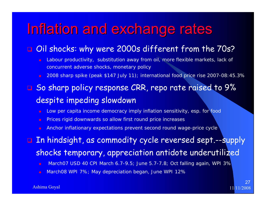### Inflation and exchange rates

#### $\Box$ Oil shocks: why were 2000s different from the 70s?

- O Labour productivity, substitution away from oil, more flexible markets, lack of concurrent adverse shocks, monetary policy
- O 2008 sharp spike (peak \$147 July 11); international food price rise 2007-08:45.3%
- $\Box$  So sharp policy response CRR, repo rate raised to 9% despite impeding slowdown
	- O Low per capita income democracy imply inflation sensitivity, esp. for food
	- O Prices rigid downwards so allow first round price increases
	- O Anchor inflationary expectations prevent second round wage-price cycle

#### $\Box$  In hindsight, as commodity cycle reversed sept.--supply shocks temporary, appreciation antidote underutilized

- O March07 USD 40 CPI March 6.7-9.5; June 5.7-7.8; Oct falling again, WPI 3%
- O March08 WPI 7%; May depreciation began, June WPI 12%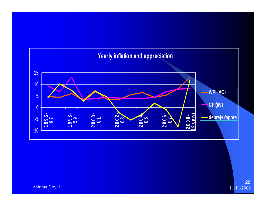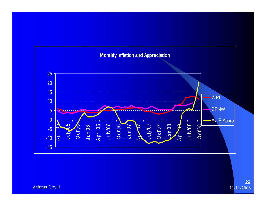

Ashima Goyal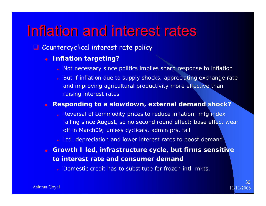### Inflation and interest rates

- Countercyclical interest rate policy
	- $\bullet$  **Inflation targeting?**
		- Not necessary since politics implies sharp response to inflation
		- But if inflation due to supply shocks, appreciating exchange rate and improving agricultural productivity more effective than raising interest rates

O **Responding to a slowdown, external demand shock?**

- Reversal of commodity prices to reduce inflation; mfg index falling since August, so no second round effect; base effect wear off in March09; unless cyclicals, admin prs, fall
- Ltd. depreciation and lower interest rates to boost demand
- O **Growth I led, infrastructure cycle, but firms sensitive to interest rate and consumer demand**

Domestic credit has to substitute for frozen intl. mkts.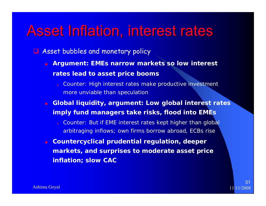### Asset Inflation, interest rates

- **Asset bubbles and monetary policy** 
	- $\bullet$  **Argument: EMEs narrow markets so low interest rates lead to asset price booms**
		- Counter: High interest rates make productive investment more unviable than speculation
	- O **Global liquidity, argument: Low global interest rates imply fund managers take risks, flood into EMEs**
		- Counter: But if EME interest rates kept higher than global arbitraging inflows; own firms borrow abroad, ECBs rise
	- **Countercyclical prudential regulation, deeper markets, and surprises to moderate asset price inflation; slow CAC**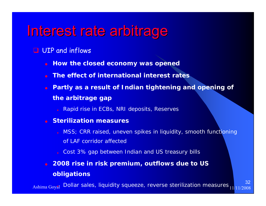### Interest rate arbitrage

#### **UIP** and inflows

- $\bullet$ **How the closed economy was opened**
- O **The effect of international interest rates**
- O **Partly as a result of Indian tightening and opening of the arbitrage gap**
	- Rapid rise in ECBs, NRI deposits, Reserves
- O **Sterilization measures**
	- MSS; CRR raised, uneven spikes in liquidity, smooth functioning of LAF corridor affected

32

- Cost 3% gap between Indian and US treasury bills
- O **2008 rise in risk premium, outflows due to US obligations**

 $\frac{\text{Ashima}~\text{Goyal}}{\text{Boul}}$  Dollar sales, liquidity squeeze, reverse sterilization measures  $\frac{1}{11/11/2008}$ Ashima Goyal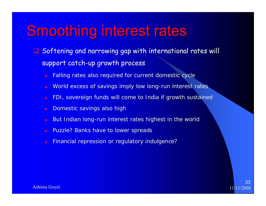## **Smoothing interest rates**

- **Q** Softening and narrowing gap with international rates will support catch-up growth process
	- O Falling rates also required for current domestic cycle
	- O World excess of savings imply low long-run interest rates
	- O FDI, sovereign funds will come to India if growth sustained
	- O Domestic savings also high
	- O But Indian long-run interest rates highest in the world
	- O Puzzle? Banks have to lower spreads
	- O Financial repression or regulatory indulgence?